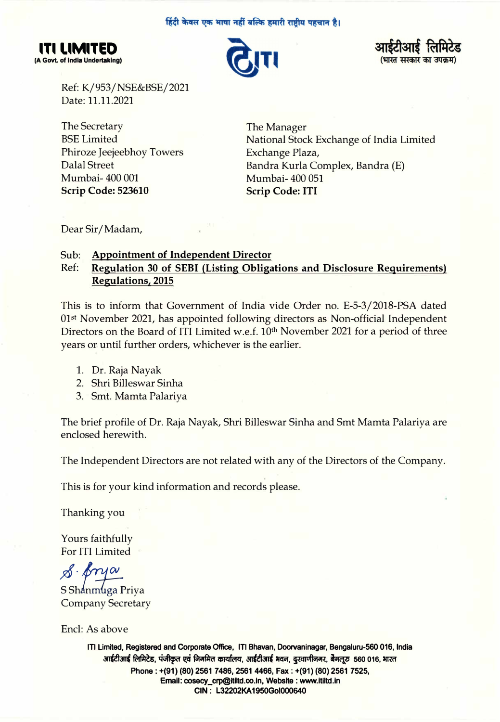#### हिंदी केवल एक भाषा नहीं बल्कि हमारी राष्टीय पहचान है।







Ref: K/953/NSE&BSE/2021 Date: 11.11.2021

The Secretary BSE Limited Phiroze Jeejeebhoy Towers Dalal Street Mumbai-400 001 **Scrip Code: 523610** 

The Manager National Stock Exchange of India Limited Exchange Plaza, Bandra Kurla Complex, Bandra (E) Mumbai-400 051 **Scrip Code: ITI** 

Dear Sir/ Madam,

# Sub: **Appointment of Independent Director**

# Ref: **Regulation 30 of SEBI (Listing Obligations and Disclosure Requirements) Regulations, 2015**

This is to inform that Government of India vide Order no. E-5-3/2018-PSA dated 01st November 2021, has appointed following directors as Non-official Independent Directors on the Board of ITI Limited w.e.f. 10<sup>th</sup> November 2021 for a period of three years or until further orders, whichever is the earlier.

- 1. Dr. Raja Nayak
- 2. Shri Billeswar Sinha
- 3. Smt. Mamta Palariya

The brief profile of Dr. Raja Nayak, Shri Billeswar Sinha and Smt Mamta Palariya are enclosed herewith.

The Independent Directors are not related with any of the Directors of the Company.

This is for your kind information and records please.

Thanking you

Yours faithfully For ITI Limited

*J?i· Jn/OI\_* 

S Shanmuga Priva Company Secretary

Encl: As above

**ITI Limited, Registered and Corporate Office, ITI Bhavan, Doorvaninagar, Bengaluru-560 016, India**  आईटीआई लिमिटेड, पंजीकृत एवं निगमित कार्यालय, आईटीआई भवन, दुरवाणीनगर, बैगलू**ठ 560 016, भारत Phone: +(91) (80) 2561 7486, 2561 4466, Fax: +(91) (80) 2561 7525, Email: cosecy\_crp@itiltd.co.ln, Website: www.ltiltd.in CIN : L32202KA 1950Gol000640**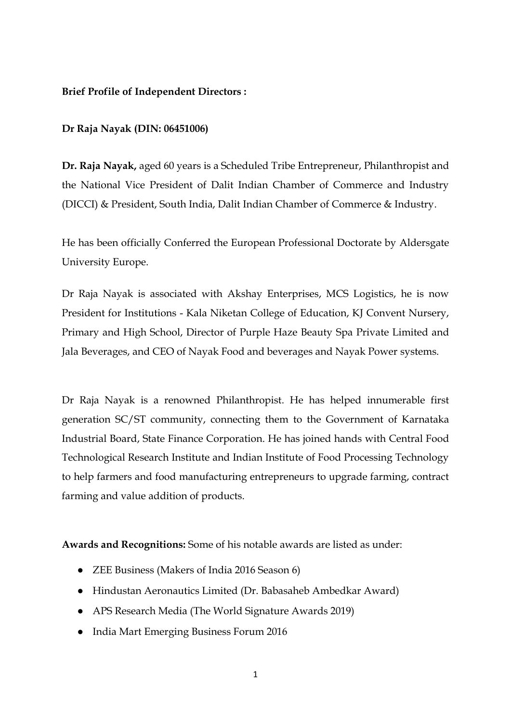### **Brief Profile of Independent Directors :**

## **Dr Raja Nayak (DIN: 06451006)**

**Dr. Raja Nayak,** aged 60 years is a Scheduled Tribe Entrepreneur, Philanthropist and the National Vice President of Dalit Indian Chamber of Commerce and Industry (DICCI) & President, South India, Dalit Indian Chamber of Commerce & Industry.

He has been officially Conferred the European Professional Doctorate by Aldersgate University Europe.

Dr Raja Nayak is associated with Akshay Enterprises, MCS Logistics, he is now President for Institutions - Kala Niketan College of Education, KJ Convent Nursery, Primary and High School, Director of Purple Haze Beauty Spa Private Limited and Jala Beverages, and CEO of Nayak Food and beverages and Nayak Power systems.

Dr Raja Nayak is a renowned Philanthropist. He has helped innumerable first generation SC/ST community, connecting them to the Government of Karnataka Industrial Board, State Finance Corporation. He has joined hands with Central Food Technological Research Institute and Indian Institute of Food Processing Technology to help farmers and food manufacturing entrepreneurs to upgrade farming, contract farming and value addition of products.

**Awards and Recognitions:** Some of his notable awards are listed as under:

- ZEE Business (Makers of India 2016 Season 6)
- Hindustan Aeronautics Limited (Dr. Babasaheb Ambedkar Award)
- APS Research Media (The World Signature Awards 2019)
- India Mart Emerging Business Forum 2016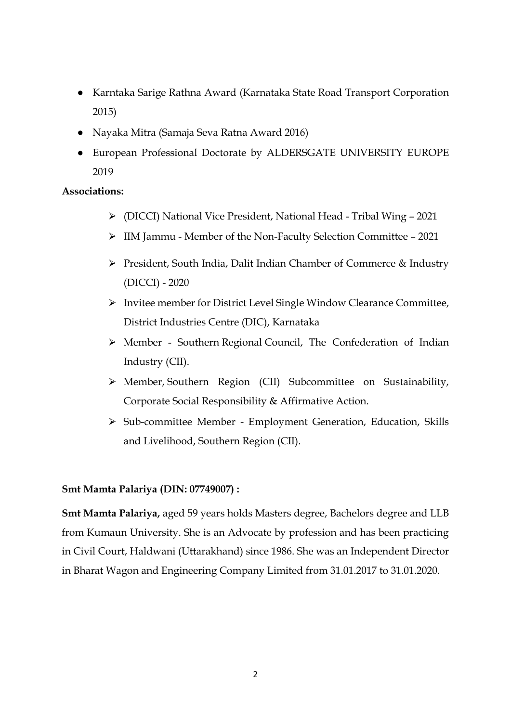- Karntaka Sarige Rathna Award (Karnataka State Road Transport Corporation 2015)
- Nayaka Mitra (Samaja Seva Ratna Award 2016)
- European Professional Doctorate by ALDERSGATE UNIVERSITY EUROPE 2019

### **Associations:**

- ⮚ (DICCI) National Vice President, National Head Tribal Wing 2021
- ⮚ IIM Jammu Member of the Non-Faculty Selection Committee 2021
- ⮚ President, South India, Dalit Indian Chamber of Commerce & Industry (DICCI) - 2020
- ⮚ Invitee member for District Level Single Window Clearance Committee, District Industries Centre (DIC), Karnataka
- > Member Southern Regional Council, The Confederation of Indian Industry (CII).
- > Member, Southern Region (CII) Subcommittee on Sustainability, Corporate Social Responsibility & Affirmative Action.
- ⮚ Sub-committee Member Employment Generation, Education, Skills and Livelihood, Southern Region (CII).

#### **Smt Mamta Palariya (DIN: 07749007) :**

**Smt Mamta Palariya,** aged 59 years holds Masters degree, Bachelors degree and LLB from Kumaun University. She is an Advocate by profession and has been practicing in Civil Court, Haldwani (Uttarakhand) since 1986. She was an Independent Director in Bharat Wagon and Engineering Company Limited from 31.01.2017 to 31.01.2020.